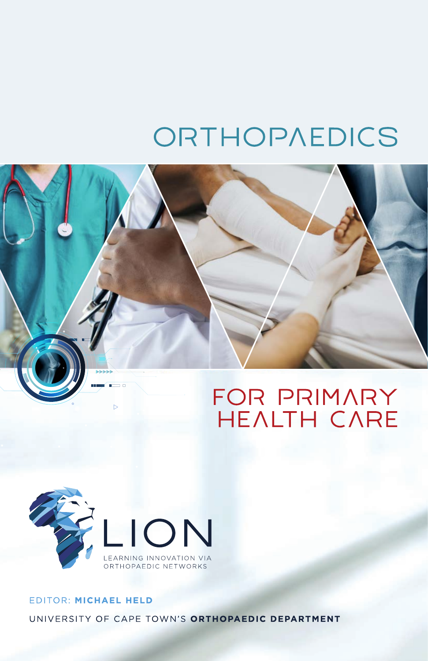# ORTHOPAEDICS





## EDITOR: MICHAEL HELD UNIVERSITY OF CAPE TOWN'S ORTHOPAEDIC DEPARTMENT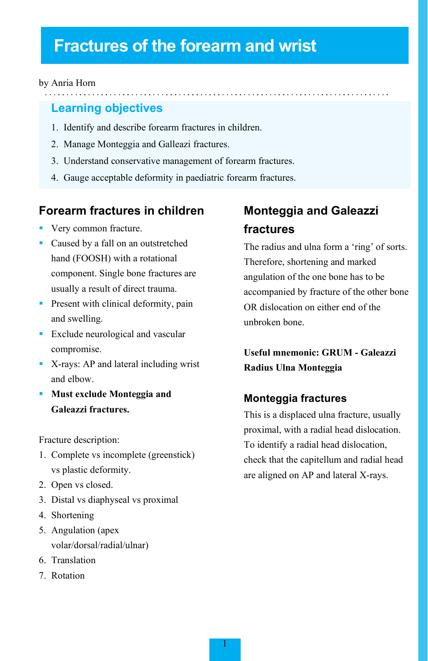## **Fractures of the forearm and wrist**

#### by Anria Horn

#### **Learning objectives**

- 1. Identify and describe forearm fractures in children.
- 2. Manage Monteggia and Galleazi fractures.
- 3. Understand conservative management of forearm fractures.
- 4. Gauge acceptable deformity in paediatric forearm fractures.

#### **Forearm fractures in children**

- **Very common fracture.**
- **Caused by a fall on an outstretched** hand (FOOSH) with a rotational component. Single bone fractures are usually a result of direct trauma.
- **Present with clinical deformity, pain** and swelling.
- **Exclude neurological and vascular** compromise.
- X-rays: AP and lateral including wrist and elbow.
- **Must exclude Monteggia and Galeazzi fractures.**

Fracture description:

- 1. Complete vs incomplete (greenstick) vs plastic deformity.
- 2. Open vs closed.
- 3. Distal vs diaphyseal vs proximal
- 4. Shortening
- 5. Angulation (apex volar/dorsal/radial/ulnar)
- 6. Translation
- 7. Rotation

## **Monteggia and Galeazzi fractures**

The radius and ulna form a 'ring' of sorts. Therefore, shortening and marked angulation of the one bone has to be accompanied by fracture of the other bone OR dislocation on either end of the unbroken bone.

**Useful mnemonic: GRUM - Galeazzi Radius Ulna Monteggia**

#### **Monteggia fractures**

This is a displaced ulna fracture, usually proximal, with a radial head dislocation. To identify a radial head dislocation, check that the capitellum and radial head are aligned on AP and lateral X-rays.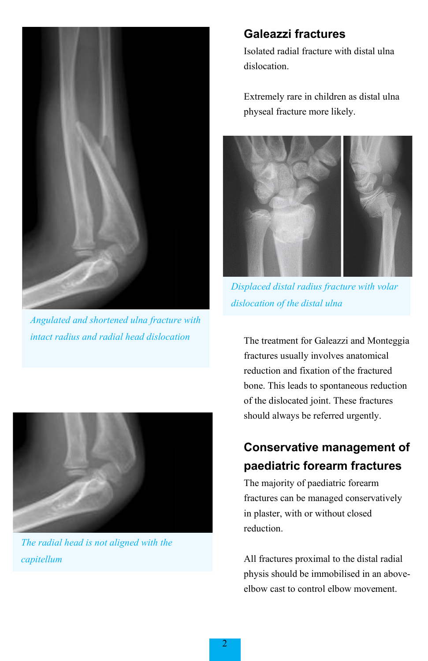

*Angulated and shortened ulna fracture with intact radius and radial head dislocation* 



*The radial head is not aligned with the capitellum*

#### **Galeazzi fractures**

Isolated radial fracture with distal ulna dislocation.

Extremely rare in children as distal ulna physeal fracture more likely.



*Displaced distal radius fracture with volar dislocation of the distal ulna*

The treatment for Galeazzi and Monteggia fractures usually involves anatomical reduction and fixation of the fractured bone. This leads to spontaneous reduction of the dislocated joint. These fractures should always be referred urgently.

## **Conservative management of paediatric forearm fractures**

The majority of paediatric forearm fractures can be managed conservatively in plaster, with or without closed reduction.

All fractures proximal to the distal radial physis should be immobilised in an aboveelbow cast to control elbow movement.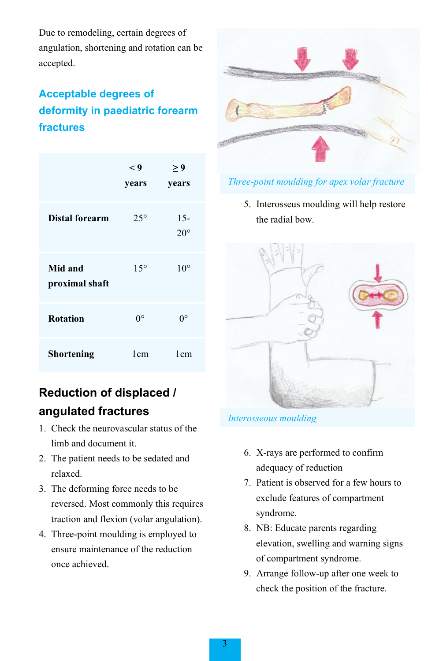Due to remodeling, certain degrees of angulation, shortening and rotation can be accepted.

## **Acceptable degrees of deformity in paediatric forearm fractures**

|                           | $\lt 9$<br>years | ≥ 9<br>years           |
|---------------------------|------------------|------------------------|
| Distal forearm            | $25^{\circ}$     | $15 -$<br>$20^{\circ}$ |
| Mid and<br>proximal shaft | $15^{\circ}$     | $10^{\circ}$           |
| <b>Rotation</b>           | $0^{\circ}$      | O°                     |
| Shortening                | 1 <sub>cm</sub>  | 1 <sub>cm</sub>        |

## **Reduction of displaced / angulated fractures**

- 1. Check the neurovascular status of the limb and document it.
- 2. The patient needs to be sedated and relaxed.
- 3. The deforming force needs to be reversed. Most commonly this requires traction and flexion (volar angulation).
- 4. Three-point moulding is employed to ensure maintenance of the reduction once achieved.



#### *Three-point moulding for apex volar fracture*

5. Interosseus moulding will help restore the radial bow.



#### *Interosseous moulding*

- 6. X-rays are performed to confirm adequacy of reduction
- 7. Patient is observed for a few hours to exclude features of compartment syndrome.
- 8. NB: Educate parents regarding elevation, swelling and warning signs of compartment syndrome.
- 9. Arrange follow-up after one week to check the position of the fracture.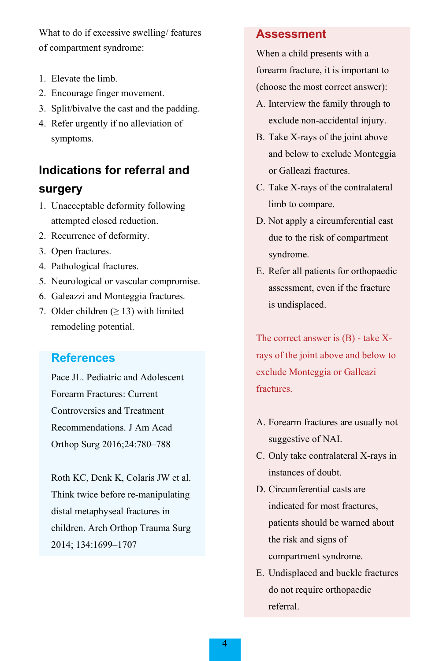What to do if excessive swelling/ features of compartment syndrome:

- 1. Elevate the limb.
- 2. Encourage finger movement.
- 3. Split/bivalve the cast and the padding.
- 4. Refer urgently if no alleviation of symptoms.

### **Indications for referral and**

#### **surgery**

- 1. Unacceptable deformity following attempted closed reduction.
- 2. Recurrence of deformity.
- 3. Open fractures.
- 4. Pathological fractures.
- 5. Neurological or vascular compromise.
- 6. Galeazzi and Monteggia fractures.
- 7. Older children  $(≥ 13)$  with limited remodeling potential.

#### **References**

Pace JL. Pediatric and Adolescent Forearm Fractures: Current Controversies and Treatment Recommendations. J Am Acad Orthop Surg 2016;24:780–788

Roth KC, Denk K, Colaris JW et al. Think twice before re-manipulating distal metaphyseal fractures in children. Arch Orthop Trauma Surg 2014; 134:1699–1707

#### **Assessment**

When a child presents with a forearm fracture, it is important to (choose the most correct answer):

- A. Interview the family through to exclude non-accidental injury.
- B. Take X-rays of the joint above and below to exclude Monteggia or Galleazi fractures.
- C. Take X-rays of the contralateral limb to compare.
- D. Not apply a circumferential cast due to the risk of compartment syndrome.
- E. Refer all patients for orthopaedic assessment, even if the fracture is undisplaced.

The correct answer is (B) - take Xrays of the joint above and below to exclude Monteggia or Galleazi fractures.

- A. Forearm fractures are usually not suggestive of NAI.
- C. Only take contralateral X-rays in instances of doubt.
- D. Circumferential casts are indicated for most fractures, patients should be warned about the risk and signs of compartment syndrome.
- E. Undisplaced and buckle fractures do not require orthopaedic referral.